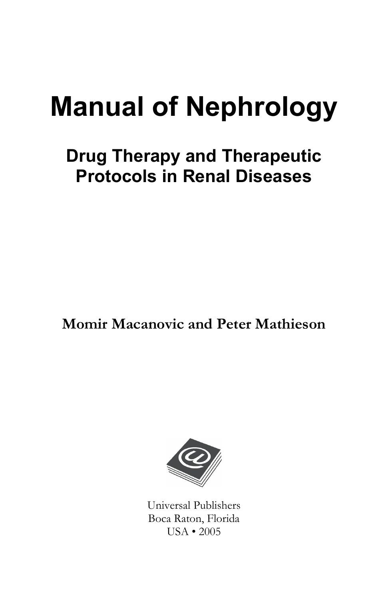# **Manual of Nephrology**

## **Drug Therapy and Therapeutic Protocols in Renal Diseases**

**Momir Macanovic and Peter Mathieson** 



Universal Publishers Boca Raton, Florida USA • 2005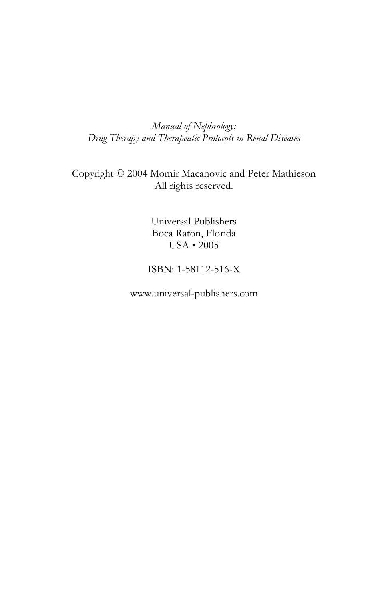*Manual of Nephrology: Drug Therapy and Therapeutic Protocols in Renal Diseases* 

Copyright © 2004 Momir Macanovic and Peter Mathieson All rights reserved.

> Universal Publishers Boca Raton, Florida USA • 2005

ISBN: 1-58112-516-X

www.universal-publishers.com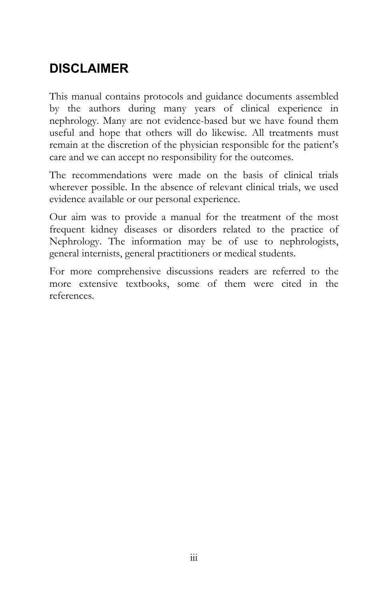## **DISCLAIMER**

This manual contains protocols and guidance documents assembled by the authors during many years of clinical experience in nephrology. Many are not evidence-based but we have found them useful and hope that others will do likewise. All treatments must remain at the discretion of the physician responsible for the patient's care and we can accept no responsibility for the outcomes.

The recommendations were made on the basis of clinical trials wherever possible. In the absence of relevant clinical trials, we used evidence available or our personal experience.

Our aim was to provide a manual for the treatment of the most frequent kidney diseases or disorders related to the practice of Nephrology. The information may be of use to nephrologists, general internists, general practitioners or medical students.

For more comprehensive discussions readers are referred to the more extensive textbooks, some of them were cited in the references.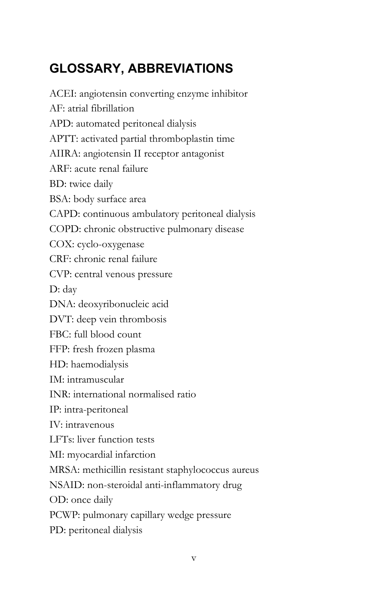## **GLOSSARY, ABBREVIATIONS**

ACEI: angiotensin converting enzyme inhibitor AF: atrial fibrillation APD: automated peritoneal dialysis APTT: activated partial thromboplastin time AIIRA: angiotensin II receptor antagonist ARF: acute renal failure BD: twice daily BSA: body surface area CAPD: continuous ambulatory peritoneal dialysis COPD: chronic obstructive pulmonary disease COX: cyclo-oxygenase CRF: chronic renal failure CVP: central venous pressure D: day DNA: deoxyribonucleic acid DVT: deep vein thrombosis FBC: full blood count FFP: fresh frozen plasma HD: haemodialysis IM: intramuscular INR: international normalised ratio IP: intra-peritoneal IV: intravenous LFTs: liver function tests MI: myocardial infarction MRSA: methicillin resistant staphylococcus aureus NSAID: non-steroidal anti-inflammatory drug OD: once daily PCWP: pulmonary capillary wedge pressure PD: peritoneal dialysis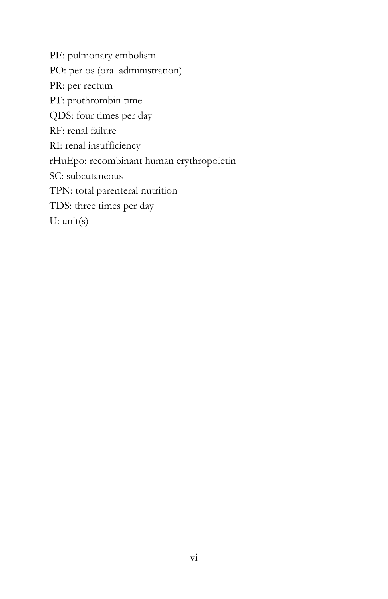PE: pulmonary embolism PO: per os (oral administration) PR: per rectum PT: prothrombin time QDS: four times per day RF: renal failure RI: renal insufficiency rHuEpo: recombinant human erythropoietin SC: subcutaneous TPN: total parenteral nutrition TDS: three times per day U: unit(s)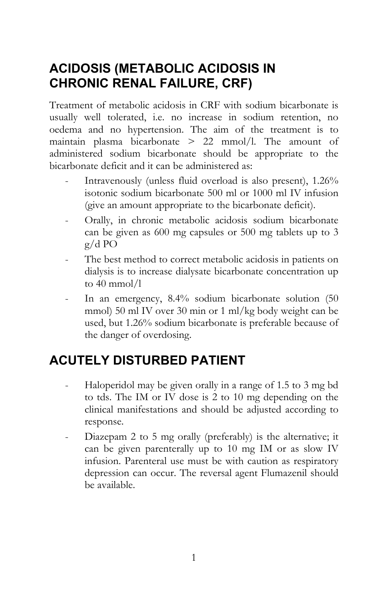## **ACIDOSIS (METABOLIC ACIDOSIS IN CHRONIC RENAL FAILURE, CRF)**

Treatment of metabolic acidosis in CRF with sodium bicarbonate is usually well tolerated, i.e. no increase in sodium retention, no oedema and no hypertension. The aim of the treatment is to maintain plasma bicarbonate > 22 mmol/l. The amount of administered sodium bicarbonate should be appropriate to the bicarbonate deficit and it can be administered as:

- Intravenously (unless fluid overload is also present),  $1.26\%$ isotonic sodium bicarbonate 500 ml or 1000 ml IV infusion (give an amount appropriate to the bicarbonate deficit).
- Orally, in chronic metabolic acidosis sodium bicarbonate can be given as 600 mg capsules or 500 mg tablets up to 3 g/d PO
- The best method to correct metabolic acidosis in patients on dialysis is to increase dialysate bicarbonate concentration up to 40 mmol/l
- In an emergency, 8.4% sodium bicarbonate solution (50 mmol) 50 ml IV over 30 min or 1 ml/kg body weight can be used, but 1.26% sodium bicarbonate is preferable because of the danger of overdosing.

## **ACUTELY DISTURBED PATIENT**

- Haloperidol may be given orally in a range of 1.5 to 3 mg bd to tds. The IM or IV dose is 2 to 10 mg depending on the clinical manifestations and should be adjusted according to response.
- Diazepam 2 to 5 mg orally (preferably) is the alternative; it can be given parenterally up to 10 mg IM or as slow IV infusion. Parenteral use must be with caution as respiratory depression can occur. The reversal agent Flumazenil should be available.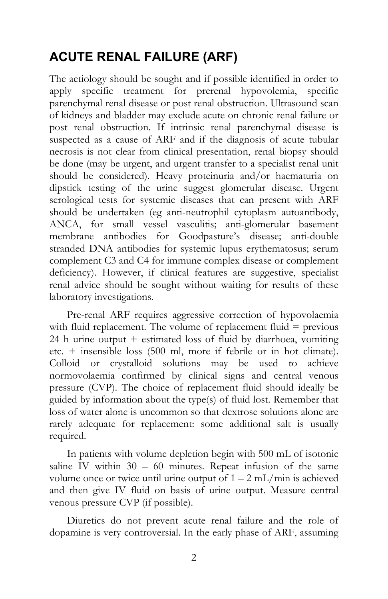## **ACUTE RENAL FAILURE (ARF)**

The aetiology should be sought and if possible identified in order to apply specific treatment for prerenal hypovolemia, specific parenchymal renal disease or post renal obstruction. Ultrasound scan of kidneys and bladder may exclude acute on chronic renal failure or post renal obstruction. If intrinsic renal parenchymal disease is suspected as a cause of ARF and if the diagnosis of acute tubular necrosis is not clear from clinical presentation, renal biopsy should be done (may be urgent, and urgent transfer to a specialist renal unit should be considered). Heavy proteinuria and/or haematuria on dipstick testing of the urine suggest glomerular disease. Urgent serological tests for systemic diseases that can present with ARF should be undertaken (eg anti-neutrophil cytoplasm autoantibody, ANCA, for small vessel vasculitis; anti-glomerular basement membrane antibodies for Goodpasture's disease; anti-double stranded DNA antibodies for systemic lupus erythematosus; serum complement C3 and C4 for immune complex disease or complement deficiency). However, if clinical features are suggestive, specialist renal advice should be sought without waiting for results of these laboratory investigations.

Pre-renal ARF requires aggressive correction of hypovolaemia with fluid replacement. The volume of replacement fluid = previous 24 h urine output + estimated loss of fluid by diarrhoea, vomiting etc. + insensible loss (500 ml, more if febrile or in hot climate). Colloid or crystalloid solutions may be used to achieve normovolaemia confirmed by clinical signs and central venous pressure (CVP). The choice of replacement fluid should ideally be guided by information about the type(s) of fluid lost. Remember that loss of water alone is uncommon so that dextrose solutions alone are rarely adequate for replacement: some additional salt is usually required.

In patients with volume depletion begin with 500 mL of isotonic saline IV within  $30 - 60$  minutes. Repeat infusion of the same volume once or twice until urine output of  $1 - 2$  mL/min is achieved and then give IV fluid on basis of urine output. Measure central venous pressure CVP (if possible).

Diuretics do not prevent acute renal failure and the role of dopamine is very controversial. In the early phase of ARF, assuming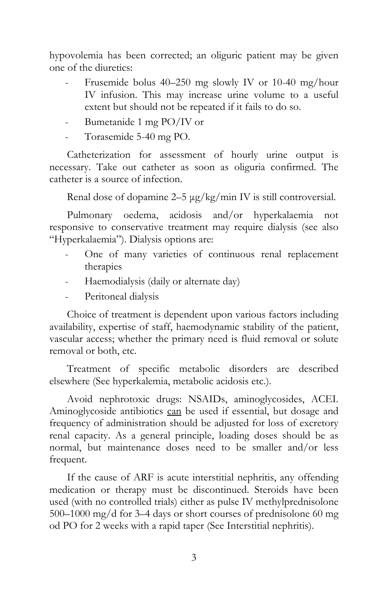hypovolemia has been corrected; an oliguric patient may be given one of the diuretics:

- Frusemide bolus 40–250 mg slowly IV or 10-40 mg/hour IV infusion. This may increase urine volume to a useful extent but should not be repeated if it fails to do so.
- Bumetanide 1 mg PO/IV or
- Torasemide 5-40 mg PO.

Catheterization for assessment of hourly urine output is necessary. Take out catheter as soon as oliguria confirmed. The catheter is a source of infection.

Renal dose of dopamine 2–5 µg/kg/min IV is still controversial.

Pulmonary oedema, acidosis and/or hyperkalaemia not responsive to conservative treatment may require dialysis (see also "Hyperkalaemia"). Dialysis options are:

- One of many varieties of continuous renal replacement therapies
- Haemodialysis (daily or alternate day)
- Peritoneal dialysis

Choice of treatment is dependent upon various factors including availability, expertise of staff, haemodynamic stability of the patient, vascular access; whether the primary need is fluid removal or solute removal or both, etc.

Treatment of specific metabolic disorders are described elsewhere (See hyperkalemia, metabolic acidosis etc.).

Avoid nephrotoxic drugs: NSAIDs, aminoglycosides, ACEI. Aminoglycoside antibiotics can be used if essential, but dosage and frequency of administration should be adjusted for loss of excretory renal capacity. As a general principle, loading doses should be as normal, but maintenance doses need to be smaller and/or less frequent.

If the cause of ARF is acute interstitial nephritis, any offending medication or therapy must be discontinued. Steroids have been used (with no controlled trials) either as pulse IV methylprednisolone 500–1000 mg/d for 3–4 days or short courses of prednisolone 60 mg od PO for 2 weeks with a rapid taper (See Interstitial nephritis).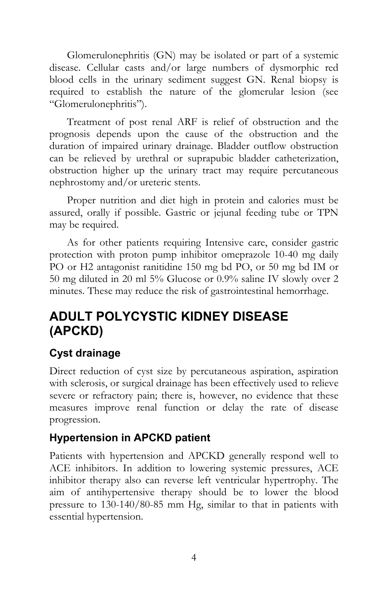Glomerulonephritis (GN) may be isolated or part of a systemic disease. Cellular casts and/or large numbers of dysmorphic red blood cells in the urinary sediment suggest GN. Renal biopsy is required to establish the nature of the glomerular lesion (see "Glomerulonephritis").

Treatment of post renal ARF is relief of obstruction and the prognosis depends upon the cause of the obstruction and the duration of impaired urinary drainage. Bladder outflow obstruction can be relieved by urethral or suprapubic bladder catheterization, obstruction higher up the urinary tract may require percutaneous nephrostomy and/or ureteric stents.

Proper nutrition and diet high in protein and calories must be assured, orally if possible. Gastric or jejunal feeding tube or TPN may be required.

As for other patients requiring Intensive care, consider gastric protection with proton pump inhibitor omeprazole 10-40 mg daily PO or H2 antagonist ranitidine 150 mg bd PO, or 50 mg bd IM or 50 mg diluted in 20 ml 5% Glucose or 0.9% saline IV slowly over 2 minutes. These may reduce the risk of gastrointestinal hemorrhage.

## **ADULT POLYCYSTIC KIDNEY DISEASE (APCKD)**

#### **Cyst drainage**

Direct reduction of cyst size by percutaneous aspiration, aspiration with sclerosis, or surgical drainage has been effectively used to relieve severe or refractory pain; there is, however, no evidence that these measures improve renal function or delay the rate of disease progression.

#### **Hypertension in APCKD patient**

Patients with hypertension and APCKD generally respond well to ACE inhibitors. In addition to lowering systemic pressures, ACE inhibitor therapy also can reverse left ventricular hypertrophy. The aim of antihypertensive therapy should be to lower the blood pressure to 130-140/80-85 mm Hg, similar to that in patients with essential hypertension.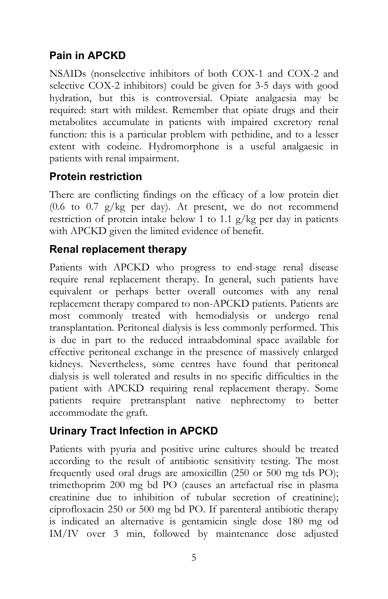#### **Pain in APCKD**

NSAIDs (nonselective inhibitors of both COX-1 and COX-2 and selective COX-2 inhibitors) could be given for 3-5 days with good hydration, but this is controversial. Opiate analgaesia may be required: start with mildest. Remember that opiate drugs and their metabolites accumulate in patients with impaired excretory renal function: this is a particular problem with pethidine, and to a lesser extent with codeine. Hydromorphone is a useful analgaesic in patients with renal impairment.

#### **Protein restriction**

There are conflicting findings on the efficacy of a low protein diet (0.6 to 0.7 g/kg per day). At present, we do not recommend restriction of protein intake below 1 to 1.1 g/kg per day in patients with APCKD given the limited evidence of benefit.

#### **Renal replacement therapy**

Patients with APCKD who progress to end-stage renal disease require renal replacement therapy. In general, such patients have equivalent or perhaps better overall outcomes with any renal replacement therapy compared to non-APCKD patients. Patients are most commonly treated with hemodialysis or undergo renal transplantation. Peritoneal dialysis is less commonly performed. This is due in part to the reduced intraabdominal space available for effective peritoneal exchange in the presence of massively enlarged kidneys. Nevertheless, some centres have found that peritoneal dialysis is well tolerated and results in no specific difficulties in the patient with APCKD requiring renal replacement therapy. Some patients require pretransplant native nephrectomy to better accommodate the graft.

#### **Urinary Tract Infection in APCKD**

Patients with pyuria and positive urine cultures should be treated according to the result of antibiotic sensitivity testing. The most frequently used oral drugs are amoxicillin (250 or 500 mg tds PO); trimethoprim 200 mg bd PO (causes an artefactual rise in plasma creatinine due to inhibition of tubular secretion of creatinine); ciprofloxacin 250 or 500 mg bd PO. If parenteral antibiotic therapy is indicated an alternative is gentamicin single dose 180 mg od IM/IV over 3 min, followed by maintenance dose adjusted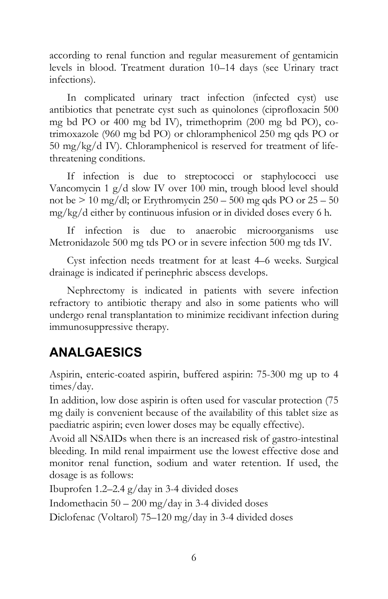according to renal function and regular measurement of gentamicin levels in blood. Treatment duration 10–14 days (see Urinary tract infections).

In complicated urinary tract infection (infected cyst) use antibiotics that penetrate cyst such as quinolones (ciprofloxacin 500 mg bd PO or 400 mg bd IV), trimethoprim (200 mg bd PO), cotrimoxazole (960 mg bd PO) or chloramphenicol 250 mg qds PO or 50 mg/kg/d IV). Chloramphenicol is reserved for treatment of lifethreatening conditions.

If infection is due to streptococci or staphylococci use Vancomycin 1 g/d slow IV over 100 min, trough blood level should not be  $> 10$  mg/dl; or Erythromycin 250 – 500 mg qds PO or  $25 - 50$ mg/kg/d either by continuous infusion or in divided doses every 6 h.

If infection is due to anaerobic microorganisms use Metronidazole 500 mg tds PO or in severe infection 500 mg tds IV.

Cyst infection needs treatment for at least 4–6 weeks. Surgical drainage is indicated if perinephric abscess develops.

Nephrectomy is indicated in patients with severe infection refractory to antibiotic therapy and also in some patients who will undergo renal transplantation to minimize recidivant infection during immunosuppressive therapy.

## **ANALGAESICS**

Aspirin, enteric-coated aspirin, buffered aspirin: 75-300 mg up to 4 times/day.

In addition, low dose aspirin is often used for vascular protection (75 mg daily is convenient because of the availability of this tablet size as paediatric aspirin; even lower doses may be equally effective).

Avoid all NSAIDs when there is an increased risk of gastro-intestinal bleeding. In mild renal impairment use the lowest effective dose and monitor renal function, sodium and water retention. If used, the dosage is as follows:

Ibuprofen 1.2–2.4 g/day in 3-4 divided doses

Indomethacin  $50 - 200$  mg/day in 3-4 divided doses

Diclofenac (Voltarol) 75–120 mg/day in 3-4 divided doses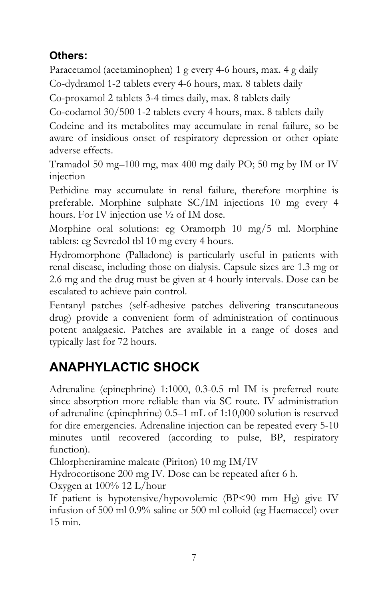#### **Others:**

Paracetamol (acetaminophen) 1 g every 4-6 hours, max. 4 g daily Co-dydramol 1-2 tablets every 4-6 hours, max. 8 tablets daily

Co-proxamol 2 tablets 3-4 times daily, max. 8 tablets daily

Co-codamol 30/500 1-2 tablets every 4 hours, max. 8 tablets daily

Codeine and its metabolites may accumulate in renal failure, so be aware of insidious onset of respiratory depression or other opiate adverse effects.

Tramadol 50 mg–100 mg, max 400 mg daily PO; 50 mg by IM or IV injection

Pethidine may accumulate in renal failure, therefore morphine is preferable. Morphine sulphate SC/IM injections 10 mg every 4 hours. For IV injection use ½ of IM dose.

Morphine oral solutions: eg Oramorph 10 mg/5 ml. Morphine tablets: eg Sevredol tbl 10 mg every 4 hours.

Hydromorphone (Palladone) is particularly useful in patients with renal disease, including those on dialysis. Capsule sizes are 1.3 mg or 2.6 mg and the drug must be given at 4 hourly intervals. Dose can be escalated to achieve pain control.

Fentanyl patches (self-adhesive patches delivering transcutaneous drug) provide a convenient form of administration of continuous potent analgaesic. Patches are available in a range of doses and typically last for 72 hours.

## **ANAPHYLACTIC SHOCK**

Adrenaline (epinephrine) 1:1000, 0.3-0.5 ml IM is preferred route since absorption more reliable than via SC route. IV administration of adrenaline (epinephrine) 0.5–1 mL of 1:10,000 solution is reserved for dire emergencies. Adrenaline injection can be repeated every 5-10 minutes until recovered (according to pulse, BP, respiratory function).

Chlorpheniramine maleate (Piriton) 10 mg IM/IV

Hydrocortisone 200 mg IV. Dose can be repeated after 6 h.

Oxygen at 100% 12 L/hour

If patient is hypotensive/hypovolemic (BP<90 mm Hg) give IV infusion of 500 ml 0.9% saline or 500 ml colloid (eg Haemaccel) over 15 min.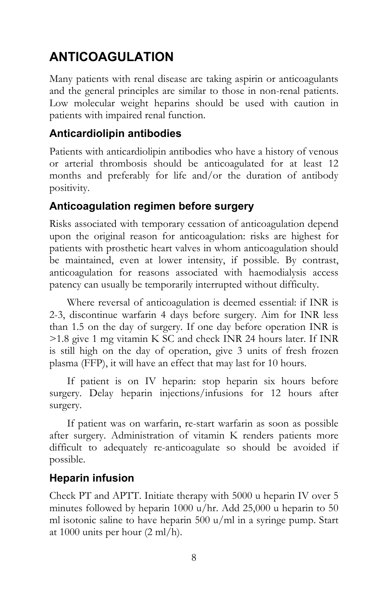## **ANTICOAGULATION**

Many patients with renal disease are taking aspirin or anticoagulants and the general principles are similar to those in non-renal patients. Low molecular weight heparins should be used with caution in patients with impaired renal function.

#### **Anticardiolipin antibodies**

Patients with anticardiolipin antibodies who have a history of venous or arterial thrombosis should be anticoagulated for at least 12 months and preferably for life and/or the duration of antibody positivity.

#### **Anticoagulation regimen before surgery**

Risks associated with temporary cessation of anticoagulation depend upon the original reason for anticoagulation: risks are highest for patients with prosthetic heart valves in whom anticoagulation should be maintained, even at lower intensity, if possible. By contrast, anticoagulation for reasons associated with haemodialysis access patency can usually be temporarily interrupted without difficulty.

Where reversal of anticoagulation is deemed essential: if INR is 2-3, discontinue warfarin 4 days before surgery. Aim for INR less than 1.5 on the day of surgery. If one day before operation INR is >1.8 give 1 mg vitamin K SC and check INR 24 hours later. If INR is still high on the day of operation, give 3 units of fresh frozen plasma (FFP), it will have an effect that may last for 10 hours.

If patient is on IV heparin: stop heparin six hours before surgery. Delay heparin injections/infusions for 12 hours after surgery.

If patient was on warfarin, re-start warfarin as soon as possible after surgery. Administration of vitamin K renders patients more difficult to adequately re-anticoagulate so should be avoided if possible.

#### **Heparin infusion**

Check PT and APTT. Initiate therapy with 5000 u heparin IV over 5 minutes followed by heparin 1000 u/hr. Add 25,000 u heparin to 50 ml isotonic saline to have heparin 500 u/ml in a syringe pump. Start at 1000 units per hour (2 ml/h).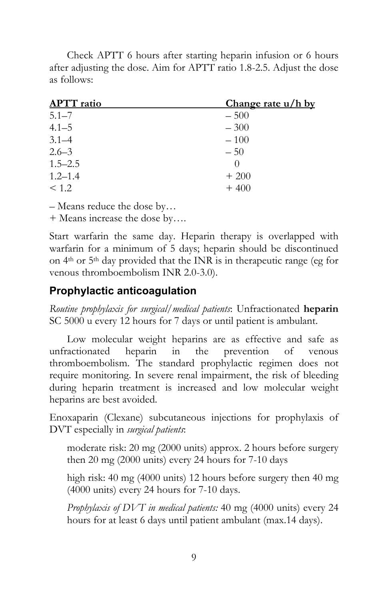Check APTT 6 hours after starting heparin infusion or 6 hours after adjusting the dose. Aim for APTT ratio 1.8-2.5. Adjust the dose as follows:

| <b>APTT</b> ratio | Change rate u/h by |
|-------------------|--------------------|
| $5.1 - 7$         | $-500$             |
| $4.1 - 5$         | $-300$             |
| $3.1 - 4$         | $-100$             |
| $2.6 - 3$         | $-50$              |
| $1.5 - 2.5$       |                    |
| $1.2 - 1.4$       | $+200$             |
| < 1.2             | $+400$             |
|                   |                    |

– Means reduce the dose by…

+ Means increase the dose by….

Start warfarin the same day. Heparin therapy is overlapped with warfarin for a minimum of 5 days; heparin should be discontinued on 4th or 5th day provided that the INR is in therapeutic range (eg for venous thromboembolism INR 2.0-3.0).

#### **Prophylactic anticoagulation**

*Routine prophylaxis for surgical/medical patients*: Unfractionated **heparin** SC 5000 u every 12 hours for 7 days or until patient is ambulant.

Low molecular weight heparins are as effective and safe as unfractionated heparin in the prevention of venous thromboembolism. The standard prophylactic regimen does not require monitoring. In severe renal impairment, the risk of bleeding during heparin treatment is increased and low molecular weight heparins are best avoided.

Enoxaparin (Clexane) subcutaneous injections for prophylaxis of DVT especially in *surgical patients*:

moderate risk: 20 mg (2000 units) approx. 2 hours before surgery then 20 mg (2000 units) every 24 hours for 7-10 days

high risk: 40 mg (4000 units) 12 hours before surgery then 40 mg (4000 units) every 24 hours for 7-10 days.

*Prophylaxis of DVT in medical patients:* 40 mg (4000 units) every 24 hours for at least 6 days until patient ambulant (max.14 days).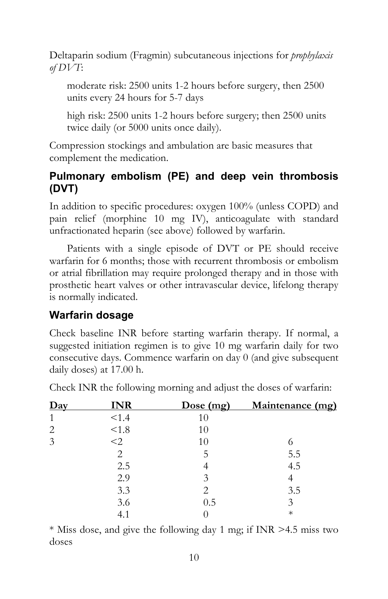Deltaparin sodium (Fragmin) subcutaneous injections for *prophylaxis of DVT*:

moderate risk: 2500 units 1-2 hours before surgery, then 2500 units every 24 hours for 5-7 days

high risk: 2500 units 1-2 hours before surgery; then 2500 units twice daily (or 5000 units once daily).

Compression stockings and ambulation are basic measures that complement the medication.

#### **Pulmonary embolism (PE) and deep vein thrombosis (DVT)**

In addition to specific procedures: oxygen 100% (unless COPD) and pain relief (morphine 10 mg IV), anticoagulate with standard unfractionated heparin (see above) followed by warfarin.

Patients with a single episode of DVT or PE should receive warfarin for 6 months; those with recurrent thrombosis or embolism or atrial fibrillation may require prolonged therapy and in those with prosthetic heart valves or other intravascular device, lifelong therapy is normally indicated.

#### **Warfarin dosage**

Check baseline INR before starting warfarin therapy. If normal, a suggested initiation regimen is to give 10 mg warfarin daily for two consecutive days. Commence warfarin on day 0 (and give subsequent daily doses) at 17.00 h.

| $\mathbf{D}$ ay | <b>INR</b>     | Dose(mg) | Maintenance (mg) |
|-----------------|----------------|----------|------------------|
| 1               | < 1.4          | 10       |                  |
| $\overline{2}$  | < 1.8          | 10       |                  |
| 3               | $<$ 2          | 10       |                  |
|                 | $\overline{2}$ | 5        | 5.5              |
|                 | 2.5            |          | 4.5              |
|                 | 2.9            | 3        |                  |
|                 | 3.3            | 2        | 3.5              |
|                 | 3.6            | 0.5      | 3                |
|                 |                |          | $^\ast$          |

Check INR the following morning and adjust the doses of warfarin:

\* Miss dose, and give the following day 1 mg; if INR >4.5 miss two doses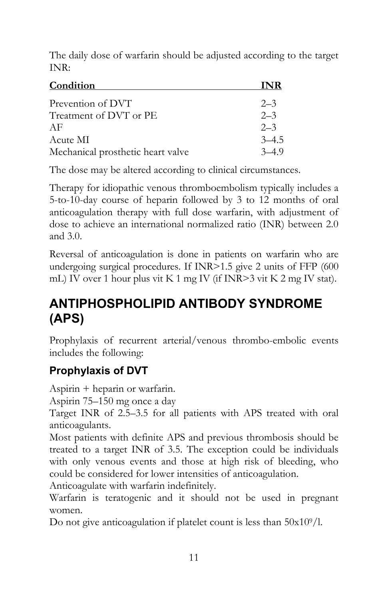The daily dose of warfarin should be adjusted according to the target INR:

| <b>Condition</b>                  | INR       |
|-----------------------------------|-----------|
| Prevention of DVT                 | $2 - 3$   |
| Treatment of DVT or PE            | $2 - 3$   |
| AF                                | $2 - 3$   |
| Acute MI                          | $3 - 4.5$ |
| Mechanical prosthetic heart valve | $3-49$    |

The dose may be altered according to clinical circumstances.

Therapy for idiopathic venous thromboembolism typically includes a 5-to-10-day course of heparin followed by 3 to 12 months of oral anticoagulation therapy with full dose warfarin, with adjustment of dose to achieve an international normalized ratio (INR) between 2.0 and 3.0.

Reversal of anticoagulation is done in patients on warfarin who are undergoing surgical procedures. If INR>1.5 give 2 units of FFP (600 mL) IV over 1 hour plus vit K 1 mg IV (if INR>3 vit K 2 mg IV stat).

## **ANTIPHOSPHOLIPID ANTIBODY SYNDROME (APS)**

Prophylaxis of recurrent arterial/venous thrombo-embolic events includes the following:

#### **Prophylaxis of DVT**

Aspirin + heparin or warfarin.

Aspirin 75–150 mg once a day

Target INR of 2.5–3.5 for all patients with APS treated with oral anticoagulants.

Most patients with definite APS and previous thrombosis should be treated to a target INR of 3.5. The exception could be individuals with only venous events and those at high risk of bleeding, who could be considered for lower intensities of anticoagulation.

Anticoagulate with warfarin indefinitely.

Warfarin is teratogenic and it should not be used in pregnant women.

Do not give anticoagulation if platelet count is less than  $50x10<sup>9</sup>/l$ .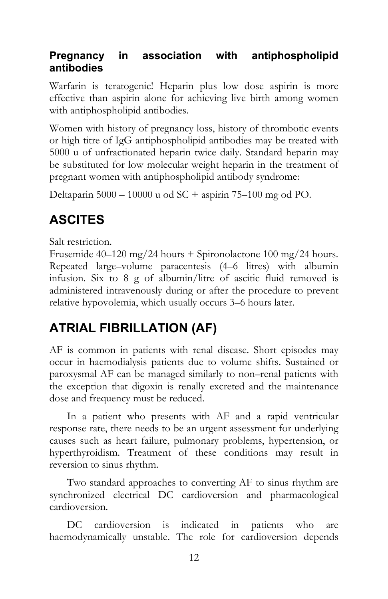#### **Pregnancy in association with antiphospholipid antibodies**

Warfarin is teratogenic! Heparin plus low dose aspirin is more effective than aspirin alone for achieving live birth among women with antiphospholipid antibodies.

Women with history of pregnancy loss, history of thrombotic events or high titre of IgG antiphospholipid antibodies may be treated with 5000 u of unfractionated heparin twice daily. Standard heparin may be substituted for low molecular weight heparin in the treatment of pregnant women with antiphospholipid antibody syndrome:

Deltaparin 5000 – 10000 u od SC + aspirin 75–100 mg od PO.

## **ASCITES**

Salt restriction.

Frusemide 40–120 mg/24 hours + Spironolactone 100 mg/24 hours. Repeated large–volume paracentesis (4–6 litres) with albumin infusion. Six to 8 g of albumin/litre of ascitic fluid removed is administered intravenously during or after the procedure to prevent relative hypovolemia, which usually occurs 3–6 hours later.

## **ATRIAL FIBRILLATION (AF)**

AF is common in patients with renal disease. Short episodes may occur in haemodialysis patients due to volume shifts. Sustained or paroxysmal AF can be managed similarly to non–renal patients with the exception that digoxin is renally excreted and the maintenance dose and frequency must be reduced.

In a patient who presents with AF and a rapid ventricular response rate, there needs to be an urgent assessment for underlying causes such as heart failure, pulmonary problems, hypertension, or hyperthyroidism. Treatment of these conditions may result in reversion to sinus rhythm.

Two standard approaches to converting AF to sinus rhythm are synchronized electrical DC cardioversion and pharmacological cardioversion.

DC cardioversion is indicated in patients who are haemodynamically unstable. The role for cardioversion depends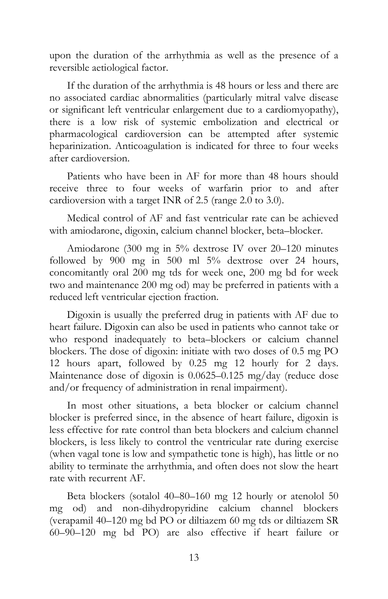upon the duration of the arrhythmia as well as the presence of a reversible aetiological factor.

If the duration of the arrhythmia is 48 hours or less and there are no associated cardiac abnormalities (particularly mitral valve disease or significant left ventricular enlargement due to a cardiomyopathy), there is a low risk of systemic embolization and electrical or pharmacological cardioversion can be attempted after systemic heparinization. Anticoagulation is indicated for three to four weeks after cardioversion.

Patients who have been in AF for more than 48 hours should receive three to four weeks of warfarin prior to and after cardioversion with a target INR of 2.5 (range 2.0 to 3.0).

Medical control of AF and fast ventricular rate can be achieved with amiodarone, digoxin, calcium channel blocker, beta–blocker.

Amiodarone (300 mg in 5% dextrose IV over 20–120 minutes followed by 900 mg in 500 ml 5% dextrose over 24 hours, concomitantly oral 200 mg tds for week one, 200 mg bd for week two and maintenance 200 mg od) may be preferred in patients with a reduced left ventricular ejection fraction.

Digoxin is usually the preferred drug in patients with AF due to heart failure. Digoxin can also be used in patients who cannot take or who respond inadequately to beta–blockers or calcium channel blockers. The dose of digoxin: initiate with two doses of 0.5 mg PO 12 hours apart, followed by 0.25 mg 12 hourly for 2 days. Maintenance dose of digoxin is 0.0625–0.125 mg/day (reduce dose and/or frequency of administration in renal impairment).

In most other situations, a beta blocker or calcium channel blocker is preferred since, in the absence of heart failure, digoxin is less effective for rate control than beta blockers and calcium channel blockers, is less likely to control the ventricular rate during exercise (when vagal tone is low and sympathetic tone is high), has little or no ability to terminate the arrhythmia, and often does not slow the heart rate with recurrent AF.

Beta blockers (sotalol 40–80–160 mg 12 hourly or atenolol 50 mg od) and non-dihydropyridine calcium channel blockers (verapamil 40–120 mg bd PO or diltiazem 60 mg tds or diltiazem SR 60–90–120 mg bd PO) are also effective if heart failure or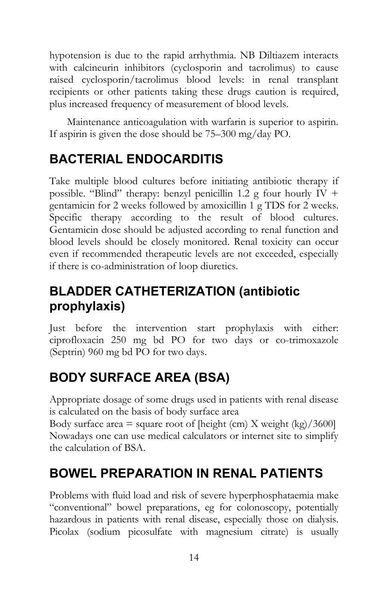hypotension is due to the rapid arrhythmia. NB Diltiazem interacts with calcineurin inhibitors (cyclosporin and tacrolimus) to cause raised cyclosporin/tacrolimus blood levels: in renal transplant recipients or other patients taking these drugs caution is required, plus increased frequency of measurement of blood levels.

Maintenance anticoagulation with warfarin is superior to aspirin. If aspirin is given the dose should be 75–300 mg/day PO.

## **BACTERIAL ENDOCARDITIS**

Take multiple blood cultures before initiating antibiotic therapy if possible. "Blind" therapy: benzyl penicillin 1.2 g four hourly  $IV +$ gentamicin for 2 weeks followed by amoxicillin 1 g TDS for 2 weeks. Specific therapy according to the result of blood cultures. Gentamicin dose should be adjusted according to renal function and blood levels should be closely monitored. Renal toxicity can occur even if recommended therapeutic levels are not exceeded, especially if there is co-administration of loop diuretics.

## **BLADDER CATHETERIZATION (antibiotic prophylaxis)**

Just before the intervention start prophylaxis with either: ciprofloxacin 250 mg bd PO for two days or co-trimoxazole (Septrin) 960 mg bd PO for two days.

## **BODY SURFACE AREA (BSA)**

Appropriate dosage of some drugs used in patients with renal disease is calculated on the basis of body surface area

Body surface area  $=$  square root of [height (cm) X weight (kg)/3600] Nowadays one can use medical calculators or internet site to simplify the calculation of BSA.

## **BOWEL PREPARATION IN RENAL PATIENTS**

Problems with fluid load and risk of severe hyperphosphataemia make "conventional" bowel preparations, eg for colonoscopy, potentially hazardous in patients with renal disease, especially those on dialysis. Picolax (sodium picosulfate with magnesium citrate) is usually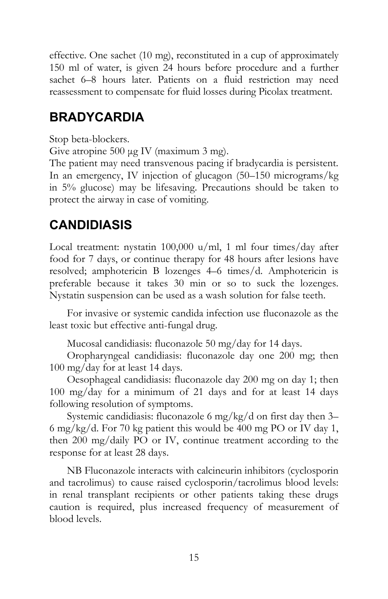effective. One sachet (10 mg), reconstituted in a cup of approximately 150 ml of water, is given 24 hours before procedure and a further sachet 6–8 hours later. Patients on a fluid restriction may need reassessment to compensate for fluid losses during Picolax treatment.

### **BRADYCARDIA**

Stop beta-blockers.

Give atropine 500 µg IV (maximum 3 mg).

The patient may need transvenous pacing if bradycardia is persistent. In an emergency, IV injection of glucagon (50–150 micrograms/kg in 5% glucose) may be lifesaving. Precautions should be taken to protect the airway in case of vomiting.

## **CANDIDIASIS**

Local treatment: nystatin 100,000 u/ml, 1 ml four times/day after food for 7 days, or continue therapy for 48 hours after lesions have resolved; amphotericin B lozenges 4–6 times/d. Amphotericin is preferable because it takes 30 min or so to suck the lozenges. Nystatin suspension can be used as a wash solution for false teeth.

For invasive or systemic candida infection use fluconazole as the least toxic but effective anti-fungal drug.

Mucosal candidiasis: fluconazole 50 mg/day for 14 days.

Oropharyngeal candidiasis: fluconazole day one 200 mg; then 100 mg/day for at least 14 days.

Oesophageal candidiasis: fluconazole day 200 mg on day 1; then 100 mg/day for a minimum of 21 days and for at least 14 days following resolution of symptoms.

Systemic candidiasis: fluconazole 6 mg/kg/d on first day then 3– 6 mg/kg/d. For 70 kg patient this would be 400 mg PO or IV day 1, then 200 mg/daily PO or IV, continue treatment according to the response for at least 28 days.

NB Fluconazole interacts with calcineurin inhibitors (cyclosporin and tacrolimus) to cause raised cyclosporin/tacrolimus blood levels: in renal transplant recipients or other patients taking these drugs caution is required, plus increased frequency of measurement of blood levels.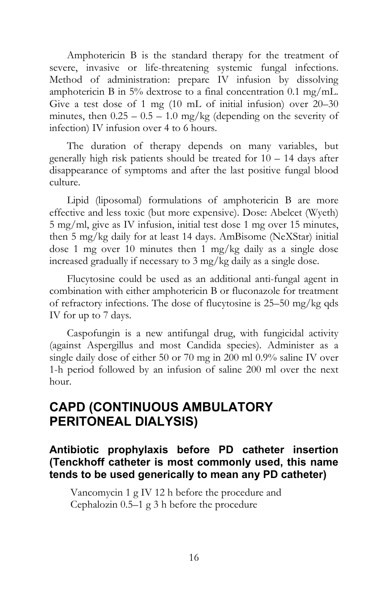Amphotericin B is the standard therapy for the treatment of severe, invasive or life-threatening systemic fungal infections. Method of administration: prepare IV infusion by dissolving amphotericin B in 5% dextrose to a final concentration 0.1 mg/mL. Give a test dose of 1 mg (10 mL of initial infusion) over 20–30 minutes, then  $0.25 - 0.5 - 1.0$  mg/kg (depending on the severity of infection) IV infusion over 4 to 6 hours.

The duration of therapy depends on many variables, but generally high risk patients should be treated for 10 – 14 days after disappearance of symptoms and after the last positive fungal blood culture.

Lipid (liposomal) formulations of amphotericin B are more effective and less toxic (but more expensive). Dose: Abelcet (Wyeth) 5 mg/ml, give as IV infusion, initial test dose 1 mg over 15 minutes, then 5 mg/kg daily for at least 14 days. AmBisome (NeXStar) initial dose 1 mg over 10 minutes then 1 mg/kg daily as a single dose increased gradually if necessary to 3 mg/kg daily as a single dose.

Flucytosine could be used as an additional anti-fungal agent in combination with either amphotericin B or fluconazole for treatment of refractory infections. The dose of flucytosine is 25–50 mg/kg qds IV for up to 7 days.

Caspofungin is a new antifungal drug, with fungicidal activity (against Aspergillus and most Candida species). Administer as a single daily dose of either 50 or 70 mg in 200 ml 0.9% saline IV over 1-h period followed by an infusion of saline 200 ml over the next hour.

#### **CAPD (CONTINUOUS AMBULATORY PERITONEAL DIALYSIS)**

**Antibiotic prophylaxis before PD catheter insertion (Tenckhoff catheter is most commonly used, this name tends to be used generically to mean any PD catheter)** 

 Vancomycin 1 g IV 12 h before the procedure and Cephalozin 0.5–1 g 3 h before the procedure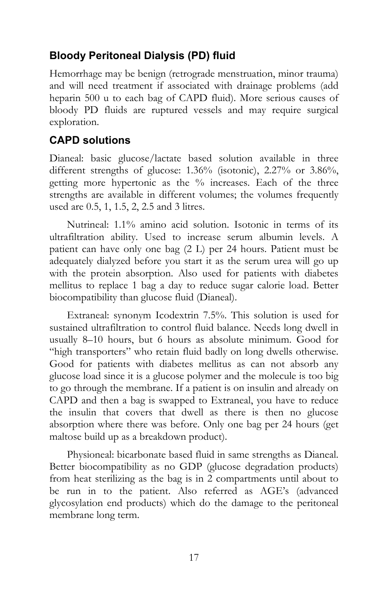#### **Bloody Peritoneal Dialysis (PD) fluid**

Hemorrhage may be benign (retrograde menstruation, minor trauma) and will need treatment if associated with drainage problems (add heparin 500 u to each bag of CAPD fluid). More serious causes of bloody PD fluids are ruptured vessels and may require surgical exploration.

#### **CAPD solutions**

Dianeal: basic glucose/lactate based solution available in three different strengths of glucose: 1.36% (isotonic), 2.27% or 3.86%, getting more hypertonic as the % increases. Each of the three strengths are available in different volumes; the volumes frequently used are 0.5, 1, 1.5, 2, 2.5 and 3 litres.

Nutrineal: 1.1% amino acid solution. Isotonic in terms of its ultrafiltration ability. Used to increase serum albumin levels. A patient can have only one bag (2 L) per 24 hours. Patient must be adequately dialyzed before you start it as the serum urea will go up with the protein absorption. Also used for patients with diabetes mellitus to replace 1 bag a day to reduce sugar calorie load. Better biocompatibility than glucose fluid (Dianeal).

Extraneal: synonym Icodextrin 7.5%. This solution is used for sustained ultrafiltration to control fluid balance. Needs long dwell in usually 8–10 hours, but 6 hours as absolute minimum. Good for "high transporters" who retain fluid badly on long dwells otherwise. Good for patients with diabetes mellitus as can not absorb any glucose load since it is a glucose polymer and the molecule is too big to go through the membrane. If a patient is on insulin and already on CAPD and then a bag is swapped to Extraneal, you have to reduce the insulin that covers that dwell as there is then no glucose absorption where there was before. Only one bag per 24 hours (get maltose build up as a breakdown product).

Physioneal: bicarbonate based fluid in same strengths as Dianeal. Better biocompatibility as no GDP (glucose degradation products) from heat sterilizing as the bag is in 2 compartments until about to be run in to the patient. Also referred as AGE's (advanced glycosylation end products) which do the damage to the peritoneal membrane long term.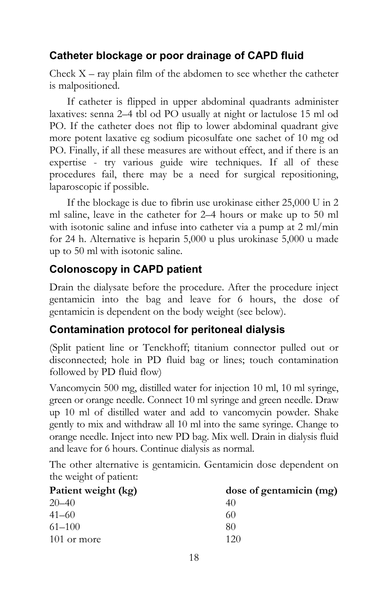#### **Catheter blockage or poor drainage of CAPD fluid**

Check  $X$  – ray plain film of the abdomen to see whether the catheter is malpositioned.

If catheter is flipped in upper abdominal quadrants administer laxatives: senna 2–4 tbl od PO usually at night or lactulose 15 ml od PO. If the catheter does not flip to lower abdominal quadrant give more potent laxative eg sodium picosulfate one sachet of 10 mg od PO. Finally, if all these measures are without effect, and if there is an expertise - try various guide wire techniques. If all of these procedures fail, there may be a need for surgical repositioning, laparoscopic if possible.

If the blockage is due to fibrin use urokinase either 25,000 U in 2 ml saline, leave in the catheter for 2–4 hours or make up to 50 ml with isotonic saline and infuse into catheter via a pump at 2 ml/min for 24 h. Alternative is heparin 5,000 u plus urokinase 5,000 u made up to 50 ml with isotonic saline.

#### **Colonoscopy in CAPD patient**

Drain the dialysate before the procedure. After the procedure inject gentamicin into the bag and leave for 6 hours, the dose of gentamicin is dependent on the body weight (see below).

#### **Contamination protocol for peritoneal dialysis**

(Split patient line or Tenckhoff; titanium connector pulled out or disconnected; hole in PD fluid bag or lines; touch contamination followed by PD fluid flow)

Vancomycin 500 mg, distilled water for injection 10 ml, 10 ml syringe, green or orange needle. Connect 10 ml syringe and green needle. Draw up 10 ml of distilled water and add to vancomycin powder. Shake gently to mix and withdraw all 10 ml into the same syringe. Change to orange needle. Inject into new PD bag. Mix well. Drain in dialysis fluid and leave for 6 hours. Continue dialysis as normal.

The other alternative is gentamicin. Gentamicin dose dependent on the weight of patient:

| Patient weight (kg) | dose of gentamicin (mg) |
|---------------------|-------------------------|
| $20 - 40$           | 40                      |
| $41 - 60$           | 60                      |
| $61 - 100$          | 80                      |
| 101 or more         | 120                     |